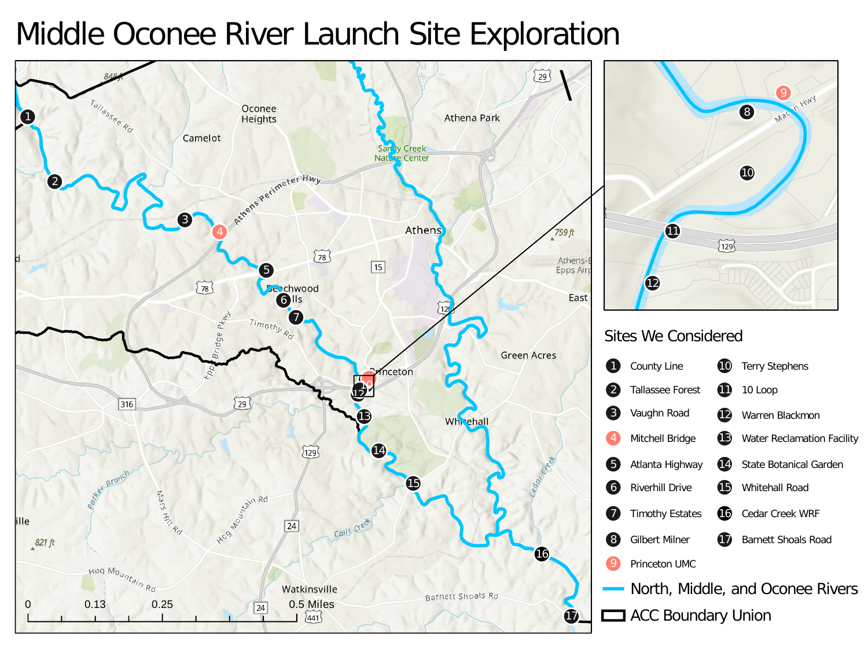## Middle Oconee River Launch Site Exploration